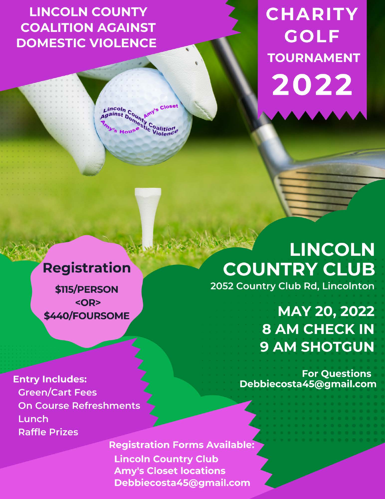**LINCOLN COUNTY COALITION AGAINST DOMESTIC VIOLENCE** 

incoln County C

incom bounty

Closet

o<sub>alition</sub><br>Vi<sub>olen</sub>ce

**CHARITY GOLF TOURNAMENT** 2022

**Registration** 

\$115/PERSON  $<$ OR> \$440/FOURSOME

# LINCOLN **COUNTRY CLUB**

2052 Country Club Rd, Lincolnton

**MAY 20, 2022 8 AM CHECK IN 9 AM SHOTGUN** 

**For Questions** Debbiecosta45@gmail.com

**Entry Includes: Green/Cart Fees** On Course Refreshments Lunch **Raffle Prizes** 

> **Registration Forms Available: Lincoln Country Club Amy's Closet locations** Debbiecosta45@gmail.com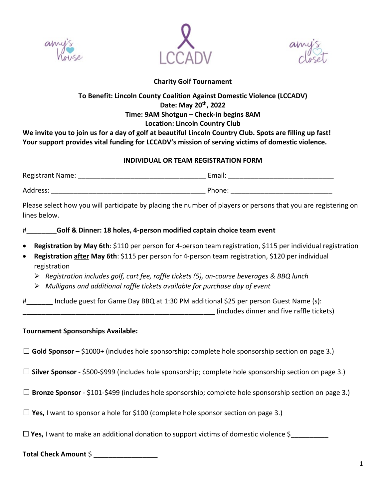





# **Charity Golf Tournament**

# **To Benefit: Lincoln County Coalition Against Domestic Violence (LCCADV) Date: May 20th, 2022 Time: 9AM Shotgun – Check-in begins 8AM Location: Lincoln Country Club**

**We invite you to join us for a day of golf at beautiful Lincoln Country Club. Spots are filling up fast! Your support provides vital funding for LCCADV's mission of serving victims of domestic violence.** 

#### **INDIVIDUAL OR TEAM REGISTRATION FORM**

| <b>Registrant Name:</b> | Email: |
|-------------------------|--------|
| Address:                | Phone: |

Please select how you will participate by placing the number of players or persons that you are registering on lines below.

#### #\_\_\_\_\_\_\_\_**Golf & Dinner: 18 holes, 4-person modified captain choice team event**

- **Registration by May 6th**: \$110 per person for 4-person team registration, \$115 per individual registration
- **Registration after May 6th**: \$115 per person for 4-person team registration, \$120 per individual registration
	- *Registration includes golf, cart fee, raffle tickets (5), on-course beverages & BBQ lunch*
	- *Mulligans and additional raffle tickets available for purchase day of event*
- # Include guest for Game Day BBQ at 1:30 PM additional \$25 per person Guest Name (s):

\_\_\_\_\_\_\_\_\_\_\_\_\_\_\_\_\_\_\_\_\_\_\_\_\_\_\_\_\_\_\_\_\_\_\_\_\_\_\_\_\_\_\_\_\_\_\_\_\_\_\_ (includes dinner and five raffle tickets)

#### **Tournament Sponsorships Available:**

☐ **Gold Sponsor** – \$1000+ (includes hole sponsorship; complete hole sponsorship section on page 3.)

☐ **Silver Sponsor** - \$500-\$999 (includes hole sponsorship; complete hole sponsorship section on page 3.)

☐ **Bronze Sponsor** - \$101-\$499 (includes hole sponsorship; complete hole sponsorship section on page 3.)

☐ **Yes,** I want to sponsor a hole for \$100 (complete hole sponsor section on page 3.)

☐ **Yes,** I want to make an additional donation to support victims of domestic violence \$\_\_\_\_\_\_\_\_\_\_

#### **Total Check Amount** \$ \_\_\_\_\_\_\_\_\_\_\_\_\_\_\_\_\_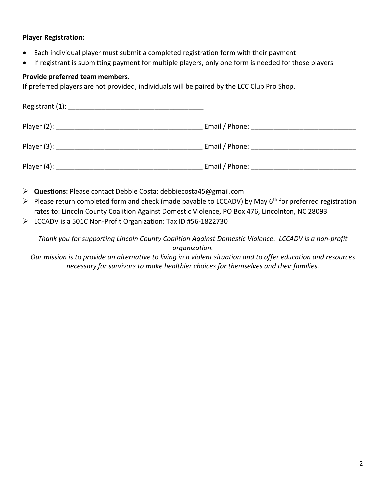#### **Player Registration:**

- Each individual player must submit a completed registration form with their payment
- If registrant is submitting payment for multiple players, only one form is needed for those players

#### **Provide preferred team members.**

If preferred players are not provided, individuals will be paired by the LCC Club Pro Shop.

| Email / Phone: The contract of the contract of the contract of the contract of the contract of the contract of the contract of the contract of the contract of the contract of the contract of the contract of the contract of |
|--------------------------------------------------------------------------------------------------------------------------------------------------------------------------------------------------------------------------------|

- **Questions:** Please contact Debbie Costa: debbiecosta45@gmail.com
- Please return completed form and check (made payable to LCCADV) by May  $6<sup>th</sup>$  for preferred registration rates to: Lincoln County Coalition Against Domestic Violence, PO Box 476, Lincolnton, NC 28093
- LCCADV is a 501C Non-Profit Organization: Tax ID #56-1822730

*Thank you for supporting Lincoln County Coalition Against Domestic Violence. LCCADV is a non-profit organization.* 

*Our mission is to provide an alternative to living in a violent situation and to offer education and resources necessary for survivors to make healthier choices for themselves and their families.*